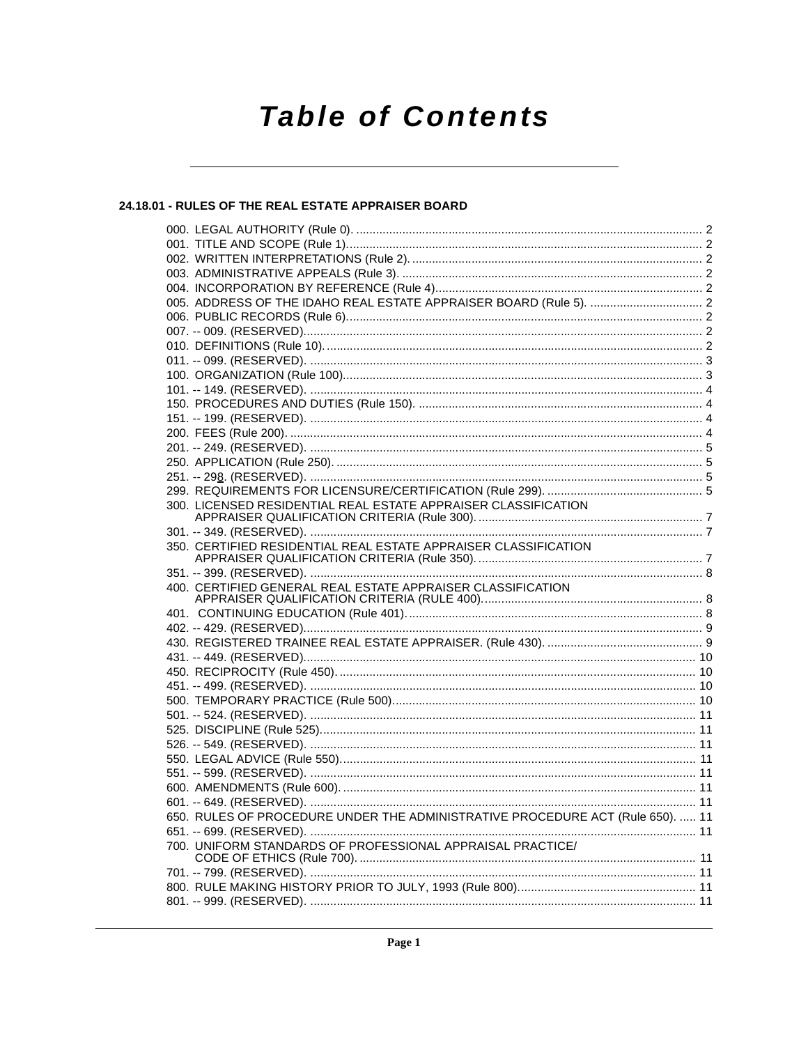# **Table of Contents**

# 24.18.01 - RULES OF THE REAL ESTATE APPRAISER BOARD

|  | 300. LICENSED RESIDENTIAL REAL ESTATE APPRAISER CLASSIFICATION                 |  |
|--|--------------------------------------------------------------------------------|--|
|  |                                                                                |  |
|  |                                                                                |  |
|  | 350. CERTIFIED RESIDENTIAL REAL ESTATE APPRAISER CLASSIFICATION                |  |
|  |                                                                                |  |
|  |                                                                                |  |
|  | 400. CERTIFIED GENERAL REAL ESTATE APPRAISER CLASSIFICATION                    |  |
|  |                                                                                |  |
|  |                                                                                |  |
|  |                                                                                |  |
|  |                                                                                |  |
|  |                                                                                |  |
|  |                                                                                |  |
|  |                                                                                |  |
|  |                                                                                |  |
|  |                                                                                |  |
|  |                                                                                |  |
|  |                                                                                |  |
|  |                                                                                |  |
|  |                                                                                |  |
|  |                                                                                |  |
|  |                                                                                |  |
|  | 650. RULES OF PROCEDURE UNDER THE ADMINISTRATIVE PROCEDURE ACT (Rule 650).  11 |  |
|  |                                                                                |  |
|  | 700. UNIFORM STANDARDS OF PROFESSIONAL APPRAISAL PRACTICE/                     |  |
|  |                                                                                |  |
|  |                                                                                |  |
|  |                                                                                |  |
|  |                                                                                |  |
|  |                                                                                |  |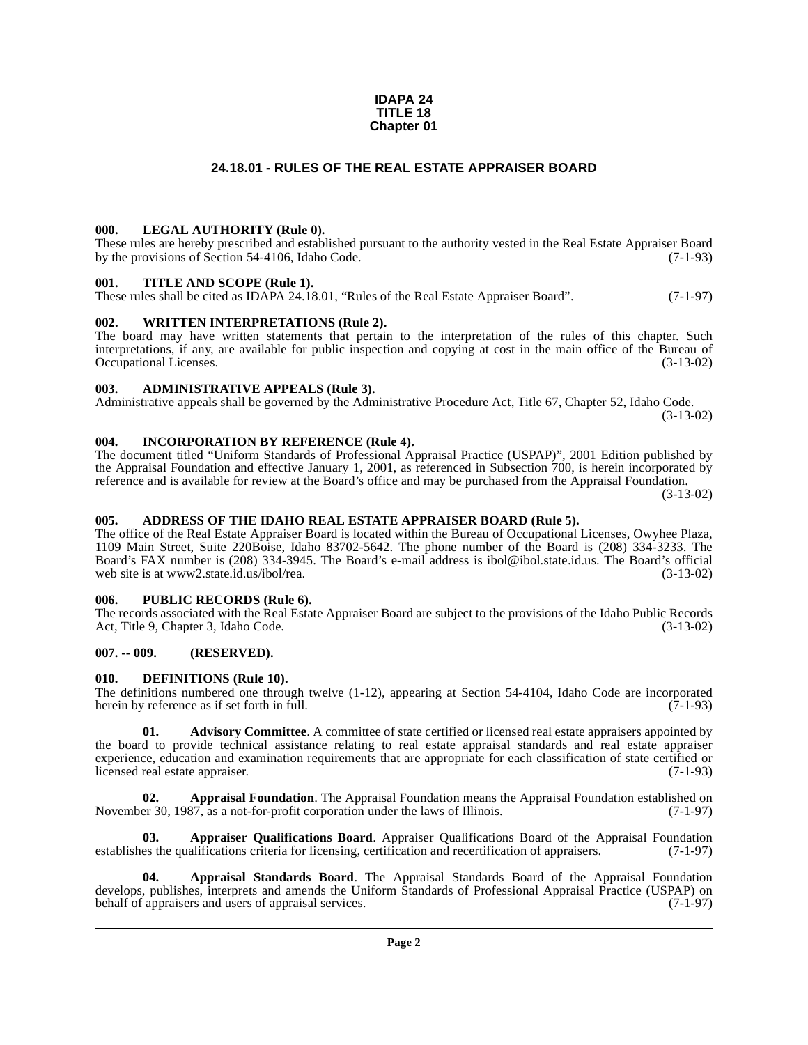#### **IDAPA 24 TITLE 18 Chapter 01**

# **24.18.01 - RULES OF THE REAL ESTATE APPRAISER BOARD**

#### <span id="page-1-1"></span><span id="page-1-0"></span>**000. LEGAL AUTHORITY (Rule 0).**

These rules are hereby prescribed and established pursuant to the authority vested in the Real Estate Appraiser Board<br>by the provisions of Section 54-4106. Idaho Code. (7-1-93) by the provisions of Section  $54-4106$ , Idaho Code.

#### <span id="page-1-2"></span>**001. TITLE AND SCOPE (Rule 1).**

These rules shall be cited as IDAPA 24.18.01, "Rules of the Real Estate Appraiser Board". (7-1-97)

### <span id="page-1-3"></span>**002. WRITTEN INTERPRETATIONS (Rule 2).**

The board may have written statements that pertain to the interpretation of the rules of this chapter. Such interpretations, if any, are available for public inspection and copying at cost in the main office of the Bureau of Occupational Licenses. (3-13-02)

#### <span id="page-1-4"></span>**003. ADMINISTRATIVE APPEALS (Rule 3).**

Administrative appeals shall be governed by the Administrative Procedure Act, Title 67, Chapter 52, Idaho Code. (3-13-02)

# <span id="page-1-5"></span>**004. INCORPORATION BY REFERENCE (Rule 4).**

The document titled "Uniform Standards of Professional Appraisal Practice (USPAP)", 2001 Edition published by the Appraisal Foundation and effective January 1, 2001, as referenced in Subsection 700, is herein incorporated by reference and is available for review at the Board's office and may be purchased from the Appraisal Foundation.

(3-13-02)

#### <span id="page-1-6"></span>**005. ADDRESS OF THE IDAHO REAL ESTATE APPRAISER BOARD (Rule 5).**

[The office of the Real Estate Appraiser Board is located within the Bureau of Occupational Licenses, Owyhee Plaza,](http://www2.state.id.us/ibol/rea) 1109 Main Street, Suite 220Boise, Idaho 83702-5642. The phone number of the Board is (208) 334-3233. The Board's FAX number is (208) 334-3945. The Board's e-mail address is ibol@ibol.state.id.us. The Board's official web site is at www2.state.id.us/ibol/rea. (3-13-02)

#### <span id="page-1-7"></span>**006. PUBLIC RECORDS (Rule 6).**

The records associated with the Real Estate Appraiser Board are subject to the provisions of the Idaho Public Records<br>Act, Title 9, Chapter 3, Idaho Code. (3-13-02) Act, Title 9, Chapter 3, Idaho Code.

#### <span id="page-1-8"></span>**007. -- 009. (RESERVED).**

#### <span id="page-1-14"></span><span id="page-1-9"></span>**010. DEFINITIONS (Rule 10).**

The definitions numbered one through twelve (1-12), appearing at Section 54-4104, Idaho Code are incorporated herein by reference as if set forth in full.  $(7-1-93)$ herein by reference as if set forth in full.

<span id="page-1-10"></span>**01. Advisory Committee**. A committee of state certified or licensed real estate appraisers appointed by the board to provide technical assistance relating to real estate appraisal standards and real estate appraiser experience, education and examination requirements that are appropriate for each classification of state certified or licensed real estate appraiser. (7-1-93) licensed real estate appraiser.

<span id="page-1-11"></span>**02. Appraisal Foundation**. The Appraisal Foundation means the Appraisal Foundation established on November 30, 1987, as a not-for-profit corporation under the laws of Illinois. (7-1-97)

<span id="page-1-13"></span>**03. Appraiser Qualifications Board**. Appraiser Qualifications Board of the Appraisal Foundation es the qualifications criteria for licensing, certification and recertification of appraisers. (7-1-97) establishes the qualifications criteria for licensing, certification and recertification of appraisers.

<span id="page-1-12"></span>**04. Appraisal Standards Board**. The Appraisal Standards Board of the Appraisal Foundation develops, publishes, interprets and amends the Uniform Standards of Professional Appraisal Practice (USPAP) on behalf of appraisers and users of appraisal services. (7-1-97) behalf of appraisers and users of appraisal services.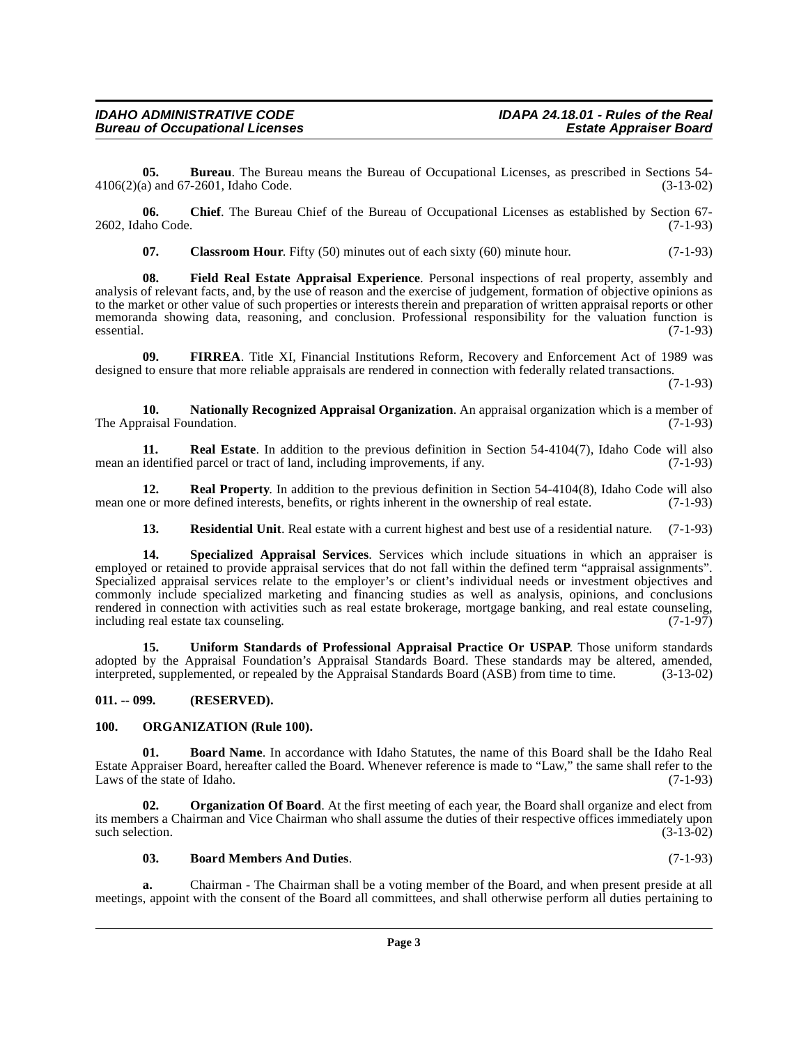### **IDAHO ADMINISTRATIVE CODE IDAPA 24.18.01 - Rules of the Real Bureau of Occupational Licenses**

**05. Bureau**. The Bureau means the Bureau of Occupational Licenses, as prescribed in Sections 54-<br>a) and 67-2601. Idaho Code. (3-13-02)  $4106(2)(a)$  and  $67-2601$ , Idaho Code.

**06.** Chief. The Bureau Chief of the Bureau of Occupational Licenses as established by Section 67-<br>(7-1-93) 2602, Idaho Code.

<span id="page-2-6"></span><span id="page-2-4"></span>**07.** Classroom Hour. Fifty (50) minutes out of each sixty (60) minute hour. (7-1-93)

**08. Field Real Estate Appraisal Experience**. Personal inspections of real property, assembly and analysis of relevant facts, and, by the use of reason and the exercise of judgement, formation of objective opinions as to the market or other value of such properties or interests therein and preparation of written appraisal reports or other memoranda showing data, reasoning, and conclusion. Professional responsibility for the valuation function is  $e$ ssential.  $(7-1-93)$ 

<span id="page-2-5"></span>**09. FIRREA**. Title XI, Financial Institutions Reform, Recovery and Enforcement Act of 1989 was designed to ensure that more reliable appraisals are rendered in connection with federally related transactions.

(7-1-93)

<span id="page-2-7"></span>**10. Nationally Recognized Appraisal Organization**. An appraisal organization which is a member of The Appraisal Foundation. (7-1-93)

<span id="page-2-10"></span>**11. Real Estate**. In addition to the previous definition in Section 54-4104(7), Idaho Code will also mean an identified parcel or tract of land, including improvements, if any. (7-1-93)

**12. Real Property**. In addition to the previous definition in Section 54-4104(8), Idaho Code will also mean one or more defined interests, benefits, or rights inherent in the ownership of real estate. (7-1-93)

<span id="page-2-13"></span><span id="page-2-12"></span><span id="page-2-11"></span>**13. Residential Unit**. Real estate with a current highest and best use of a residential nature. (7-1-93)

**14. Specialized Appraisal Services**. Services which include situations in which an appraiser is employed or retained to provide appraisal services that do not fall within the defined term "appraisal assignments". Specialized appraisal services relate to the employer's or client's individual needs or investment objectives and commonly include specialized marketing and financing studies as well as analysis, opinions, and conclusions rendered in connection with activities such as real estate brokerage, mortgage banking, and real estate counseling, including real estate tax counseling. including real estate tax counseling.

<span id="page-2-14"></span>**15. Uniform Standards of Professional Appraisal Practice Or USPAP**. Those uniform standards adopted by the Appraisal Foundation's Appraisal Standards Board. These standards may be altered, amended, interpreted, supplemented, or repealed by the Appraisal Standards Board (ASB) from time to time. (3-13-02) interpreted, supplemented, or repealed by the Appraisal Standards Board (ASB) from time to time.

#### <span id="page-2-0"></span>**011. -- 099. (RESERVED).**

#### <span id="page-2-9"></span><span id="page-2-1"></span>**100. ORGANIZATION (Rule 100).**

<span id="page-2-3"></span>**01. Board Name**. In accordance with Idaho Statutes, the name of this Board shall be the Idaho Real Estate Appraiser Board, hereafter called the Board. Whenever reference is made to "Law," the same shall refer to the Laws of the state of Idaho. (7-1-93)

**02. Organization Of Board**. At the first meeting of each year, the Board shall organize and elect from its members a Chairman and Vice Chairman who shall assume the duties of their respective offices immediately upon such selection.  $(3-13-02)$ 

#### <span id="page-2-8"></span><span id="page-2-2"></span>**03. Board Members And Duties**. (7-1-93)

**a.** Chairman - The Chairman shall be a voting member of the Board, and when present preside at all meetings, appoint with the consent of the Board all committees, and shall otherwise perform all duties pertaining to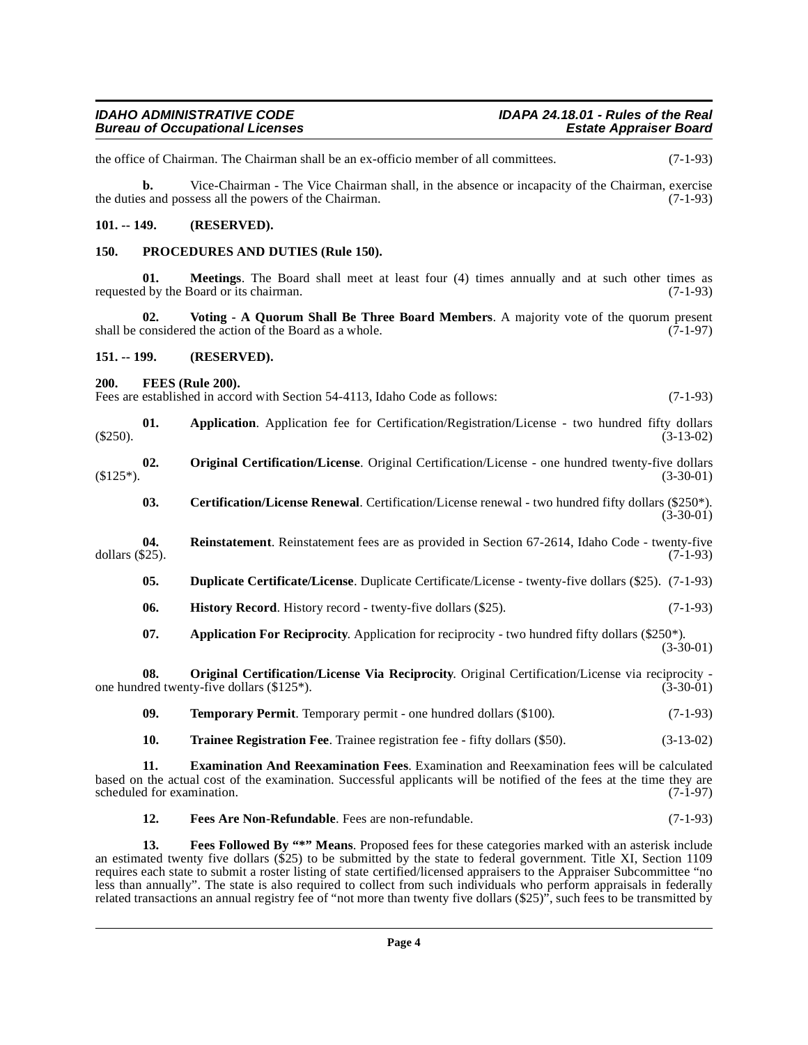the office of Chairman. The Chairman shall be an ex-officio member of all committees. (7-1-93)

**b.** Vice-Chairman - The Vice Chairman shall, in the absence or incapacity of the Chairman, exercise the duties and possess all the powers of the Chairman. (7-1-93)

#### <span id="page-3-0"></span>**101. -- 149. (RESERVED).**

#### <span id="page-3-14"></span><span id="page-3-1"></span>**150. PROCEDURES AND DUTIES (Rule 150).**

**01. Meetings**. The Board shall meet at least four (4) times annually and at such other times as d by the Board or its chairman. (7-1-93) requested by the Board or its chairman.

<span id="page-3-18"></span>**02.** Voting - A Quorum Shall Be Three Board Members. A majority vote of the quorum present considered the action of the Board as a whole. (7-1-97) shall be considered the action of the Board as a whole.

<span id="page-3-2"></span>**151. -- 199. (RESERVED).**

<span id="page-3-10"></span><span id="page-3-3"></span>**200. FEES (Rule 200).**

Fees are established in accord with Section 54-4113, Idaho Code as follows: (7-1-93)

- **01. Application**. Application fee for Certification/Registration/License two hundred fifty dollars  $(3-13-02)$
- <span id="page-3-13"></span><span id="page-3-5"></span>**02. Original Certification/License**. Original Certification/License - one hundred twenty-five dollars  $(3-30-01)$   $(3-30-01)$ 
	- **03. Certification/License Renewal**. Certification/License renewal two hundred fifty dollars (\$250\*).  $(3-30-01)$
- <span id="page-3-15"></span><span id="page-3-11"></span><span id="page-3-6"></span>**04.** Reinstatement. Reinstatement fees are as provided in Section 67-2614, Idaho Code - twenty-five dollars (\$25). dollars (\$25). (7-1-93)
	- **05. Duplicate Certificate/License**. Duplicate Certificate/License twenty-five dollars (\$25). (7-1-93)
	- **06. History Record**. History record twenty-five dollars (\$25). (7-1-93)
	- **07.** Application For Reciprocity. Application for reciprocity two hundred fifty dollars (\$250\*). (3-30-01)

**08. Original Certification/License Via Reciprocity**. Original Certification/License via reciprocity one hundred twenty-five dollars  $(\$125^*)$ . (3-30-01)

- <span id="page-3-16"></span><span id="page-3-12"></span><span id="page-3-4"></span>**09. Temporary Permit**. Temporary permit - one hundred dollars (\$100). (7-1-93)
- <span id="page-3-17"></span><span id="page-3-7"></span>**10. Trainee Registration Fee**. Trainee registration fee - fifty dollars (\$50). (3-13-02)

**11. Examination And Reexamination Fees**. Examination and Reexamination fees will be calculated based on the actual cost of the examination. Successful applicants will be notified of the fees at the time they are scheduled for examination. (7-1-97) scheduled for examination.

<span id="page-3-9"></span><span id="page-3-8"></span>**12. Fees Are Non-Refundable**. Fees are non-refundable. (7-1-93)

**13. Fees Followed By "\*" Means**. Proposed fees for these categories marked with an asterisk include an estimated twenty five dollars (\$25) to be submitted by the state to federal government. Title XI, Section 1109 requires each state to submit a roster listing of state certified/licensed appraisers to the Appraiser Subcommittee "no less than annually". The state is also required to collect from such individuals who perform appraisals in federally related transactions an annual registry fee of "not more than twenty five dollars (\$25)", such fees to be transmitted by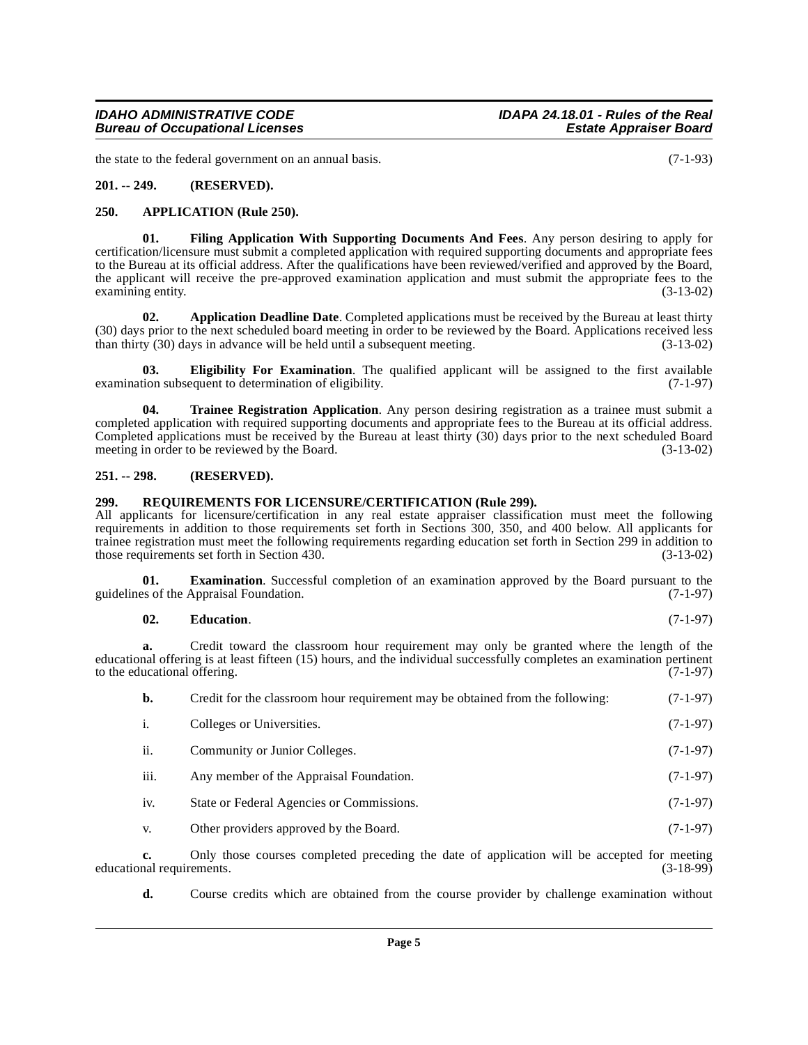**03. Eligibility For Examination**. The qualified applicant will be assigned to the first available tion subsequent to determination of eligibility. (7-1-97) examination subsequent to determination of eligibility.

certification/licensure must submit a completed application with required supporting documents and appropriate fees to the Bureau at its official address. After the qualifications have been reviewed/verified and approved by the Board, the applicant will receive the pre-approved examination application and must submit the appropriate fees to the examining entity. (3-13-02)

<span id="page-4-8"></span><span id="page-4-5"></span>**01. Filing Application With Supporting Documents And Fees**. Any person desiring to apply for

<span id="page-4-10"></span><span id="page-4-7"></span><span id="page-4-4"></span>**02. Application Deadline Date**. Completed applications must be received by the Bureau at least thirty

**04. Trainee Registration Application**. Any person desiring registration as a trainee must submit a completed application with required supporting documents and appropriate fees to the Bureau at its official address. Completed applications must be received by the Bureau at least thirty (30) days prior to the next scheduled Board meeting in order to be reviewed by the Board. (3-13-02)

# <span id="page-4-2"></span>**251. -- 298. (RESERVED).**

# <span id="page-4-9"></span><span id="page-4-3"></span>**299. REQUIREMENTS FOR LICENSURE/CERTIFICATION (Rule 299).**

All applicants for licensure/certification in any real estate appraiser classification must meet the following requirements in addition to those requirements set forth in Sections 300, 350, and 400 below. All applicants for trainee registration must meet the following requirements regarding education set forth in Section 299 in addition to those requirements set forth in Section 430. those requirements set forth in Section 430.

**01. Examination**. Successful completion of an examination approved by the Board pursuant to the ss of the Appraisal Foundation. (7-1-97) guidelines of the Appraisal Foundation.

# <span id="page-4-6"></span>**02. Education**. (7-1-97)

**a.** Credit toward the classroom hour requirement may only be granted where the length of the educational offering is at least fifteen (15) hours, and the individual successfully completes an examination pertinent to the educational offering. (7-1-97) to the educational offering.

| b.   | Credit for the classroom hour requirement may be obtained from the following: | $(7-1-97)$ |
|------|-------------------------------------------------------------------------------|------------|
| i.   | Colleges or Universities.                                                     | $(7-1-97)$ |
| ii.  | Community or Junior Colleges.                                                 | $(7-1-97)$ |
| iii. | Any member of the Appraisal Foundation.                                       | $(7-1-97)$ |
| iv.  | State or Federal Agencies or Commissions.                                     | $(7-1-97)$ |
| V.   | Other providers approved by the Board.                                        | $(7-1-97)$ |

**c.** Only those courses completed preceding the date of application will be accepted for meeting nal requirements. (3-18-99) educational requirements.

**d.** Course credits which are obtained from the course provider by challenge examination without

<span id="page-4-0"></span>**201. -- 249. (RESERVED).**

# <span id="page-4-1"></span>**250. APPLICATION (Rule 250).**

examining entity.

the state to the federal government on an annual basis. (7-1-93)

**Bureau of Occupational Licenses**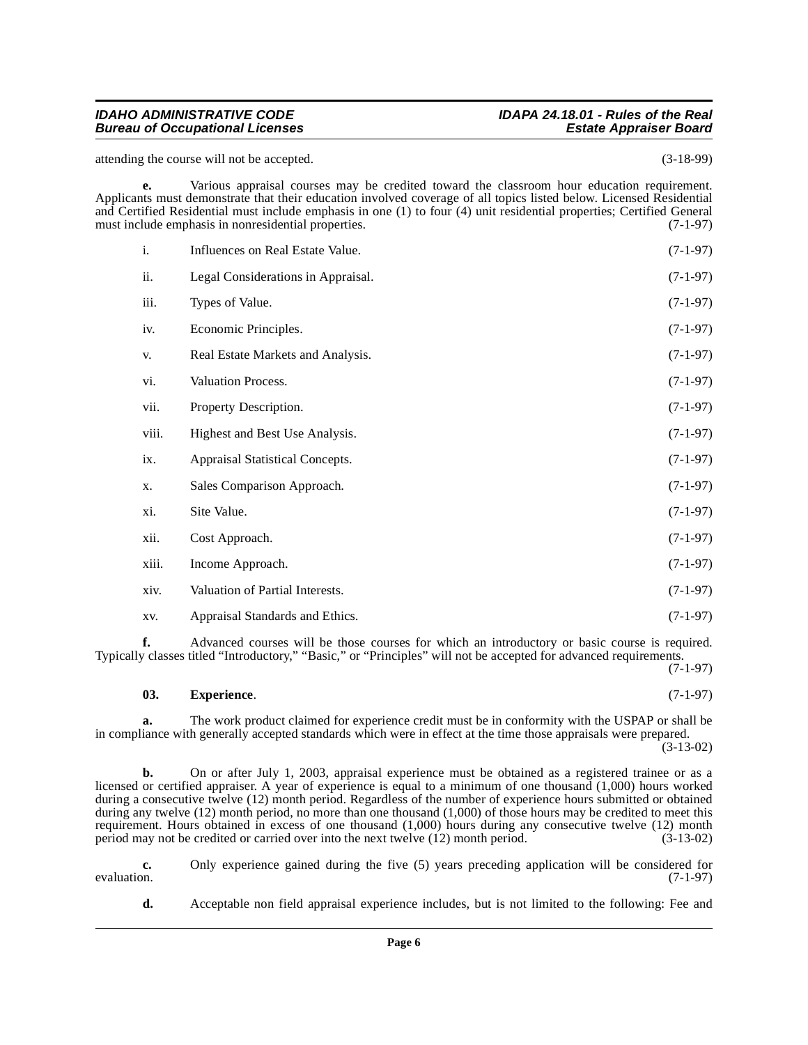# **IDAHO ADMINISTRATIVE CODE IDAPA 24.18.01 - Rules of the Real**

attending the course will not be accepted. (3-18-99)

**e.** Various appraisal courses may be credited toward the classroom hour education requirement. Applicants must demonstrate that their education involved coverage of all topics listed below. Licensed Residential and Certified Residential must include emphasis in one (1) to four (4) unit residential properties; Certified General must include emphasis in nonresidential properties.  $(7-1-97)$ must include emphasis in nonresidential properties.

| i.    | Influences on Real Estate Value.   | $(7-1-97)$ |
|-------|------------------------------------|------------|
| ii.   | Legal Considerations in Appraisal. | $(7-1-97)$ |
| iii.  | Types of Value.                    | $(7-1-97)$ |
| iv.   | Economic Principles.               | $(7-1-97)$ |
| V.    | Real Estate Markets and Analysis.  | $(7-1-97)$ |
| vi.   | Valuation Process.                 | $(7-1-97)$ |
| vii.  | Property Description.              | $(7-1-97)$ |
| viii. | Highest and Best Use Analysis.     | $(7-1-97)$ |
| ix.   | Appraisal Statistical Concepts.    | $(7-1-97)$ |
| X.    | Sales Comparison Approach.         | $(7-1-97)$ |
| xi.   | Site Value.                        | $(7-1-97)$ |
| xii.  | Cost Approach.                     | $(7-1-97)$ |
| xiii. | Income Approach.                   | $(7-1-97)$ |
| xiv.  | Valuation of Partial Interests.    | $(7-1-97)$ |
| XV.   | Appraisal Standards and Ethics.    | $(7-1-97)$ |

**f.** Advanced courses will be those courses for which an introductory or basic course is required. Typically classes titled "Introductory," "Basic," or "Principles" will not be accepted for advanced requirements.

(7-1-97)

# <span id="page-5-0"></span>**03. Experience**. (7-1-97)

**a.** The work product claimed for experience credit must be in conformity with the USPAP or shall be in compliance with generally accepted standards which were in effect at the time those appraisals were prepared.  $(3-13-02)$ 

**b.** On or after July 1, 2003, appraisal experience must be obtained as a registered trainee or as a licensed or certified appraiser. A year of experience is equal to a minimum of one thousand (1,000) hours worked during a consecutive twelve (12) month period. Regardless of the number of experience hours submitted or obtained during any twelve (12) month period, no more than one thousand (1,000) of those hours may be credited to meet this requirement. Hours obtained in excess of one thousand (1,000) hours during any consecutive twelve (12) month period may not be credited or carried over into the next twelve (12) month period. (3-13-02) period may not be credited or carried over into the next twelve  $(12)$  month period.

**c.** Only experience gained during the five (5) years preceding application will be considered for evaluation. (7-1-97) evaluation.  $(7-1-97)$ 

**d.** Acceptable non field appraisal experience includes, but is not limited to the following: Fee and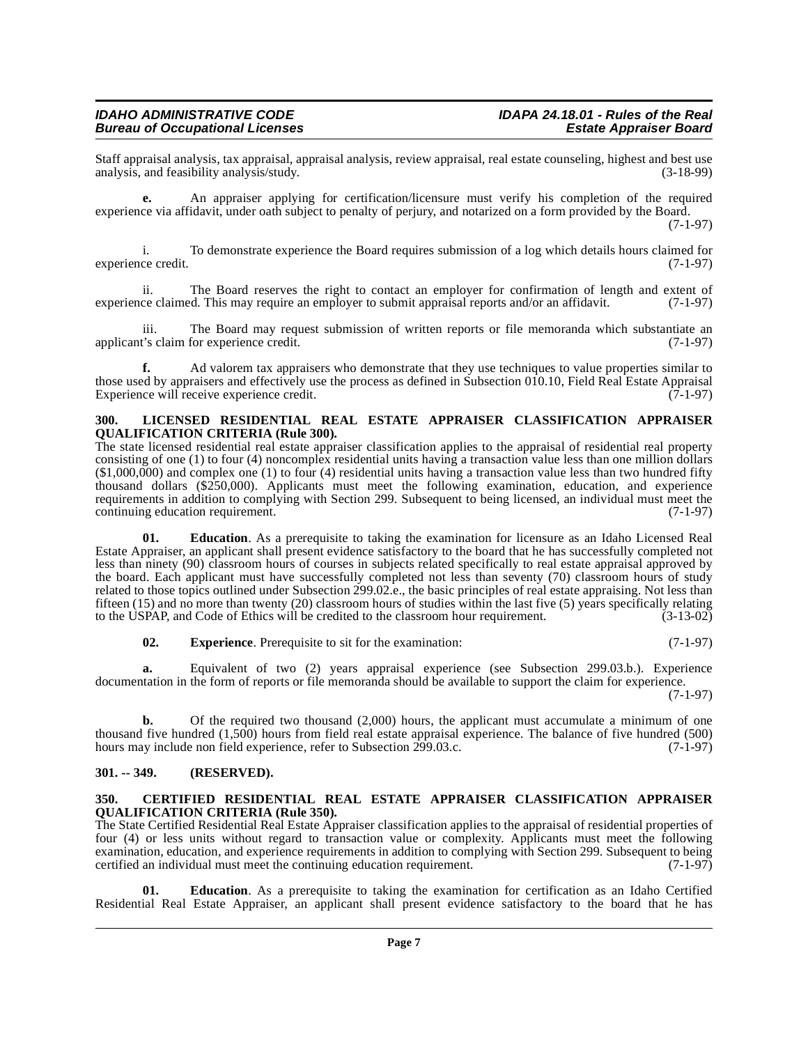#### **IDAHO ADMINISTRATIVE CODE IDAPA 24.18.01 - Rules of the Real Bureau of Occupational Licenses**

Staff appraisal analysis, tax appraisal, appraisal analysis, review appraisal, real estate counseling, highest and best use analysis, and feasibility analysis/study.

**e.** An appraiser applying for certification/licensure must verify his completion of the required experience via affidavit, under oath subject to penalty of perjury, and notarized on a form provided by the Board. (7-1-97)

i. To demonstrate experience the Board requires submission of a log which details hours claimed for experience credit. (7-1-97)

ii. The Board reserves the right to contact an employer for confirmation of length and extent of experience claimed. This may require an employer to submit appraisal reports and/or an affidavit. (7-1-97)

iii. The Board may request submission of written reports or file memoranda which substantiate an t's claim for experience credit. (7-1-97) applicant's claim for experience credit.

**f.** Ad valorem tax appraisers who demonstrate that they use techniques to value properties similar to those used by appraisers and effectively use the process as defined in Subsection 010.10, Field Real Estate Appraisal Experience will receive experience credit. Experience will receive experience credit.

#### <span id="page-6-4"></span><span id="page-6-0"></span>**300. LICENSED RESIDENTIAL REAL ESTATE APPRAISER CLASSIFICATION APPRAISER QUALIFICATION CRITERIA (Rule 300).**

The state licensed residential real estate appraiser classification applies to the appraisal of residential real property consisting of one (1) to four (4) noncomplex residential units having a transaction value less than one million dollars (\$1,000,000) and complex one (1) to four (4) residential units having a transaction value less than two hundred fifty thousand dollars (\$250,000). Applicants must meet the following examination, education, and experience requirements in addition to complying with Section 299. Subsequent to being licensed, an individual must meet the continuing education requirement. continuing education requirement.

**01. Education**. As a prerequisite to taking the examination for licensure as an Idaho Licensed Real Estate Appraiser, an applicant shall present evidence satisfactory to the board that he has successfully completed not less than ninety (90) classroom hours of courses in subjects related specifically to real estate appraisal approved by the board. Each applicant must have successfully completed not less than seventy (70) classroom hours of study related to those topics outlined under Subsection 299.02.e., the basic principles of real estate appraising. Not less than fifteen (15) and no more than twenty (20) classroom hours of studies within the last five (5) years specifically relating to the USPAP, and Code of Ethics will be credited to the classroom hour requirement. (3-13-02)

**02.** Experience. Prerequisite to sit for the examination: (7-1-97)

**a.** Equivalent of two (2) years appraisal experience (see Subsection 299.03.b.). Experience documentation in the form of reports or file memoranda should be available to support the claim for experience. (7-1-97)

**b.** Of the required two thousand (2,000) hours, the applicant must accumulate a minimum of one thousand five hundred (1,500) hours from field real estate appraisal experience. The balance of five hundred (500) hours may include non field experience, refer to Subsection 299.03.c. (7-1-97)

#### <span id="page-6-1"></span>**301. -- 349. (RESERVED).**

#### <span id="page-6-3"></span><span id="page-6-2"></span>**350. CERTIFIED RESIDENTIAL REAL ESTATE APPRAISER CLASSIFICATION APPRAISER QUALIFICATION CRITERIA (Rule 350).**

The State Certified Residential Real Estate Appraiser classification applies to the appraisal of residential properties of four (4) or less units without regard to transaction value or complexity. Applicants must meet the following examination, education, and experience requirements in addition to complying with Section 299. Subsequent to being<br>certified an individual must meet the continuing education requirement. (7-1-97) certified an individual must meet the continuing education requirement.

**01. Education**. As a prerequisite to taking the examination for certification as an Idaho Certified Residential Real Estate Appraiser, an applicant shall present evidence satisfactory to the board that he has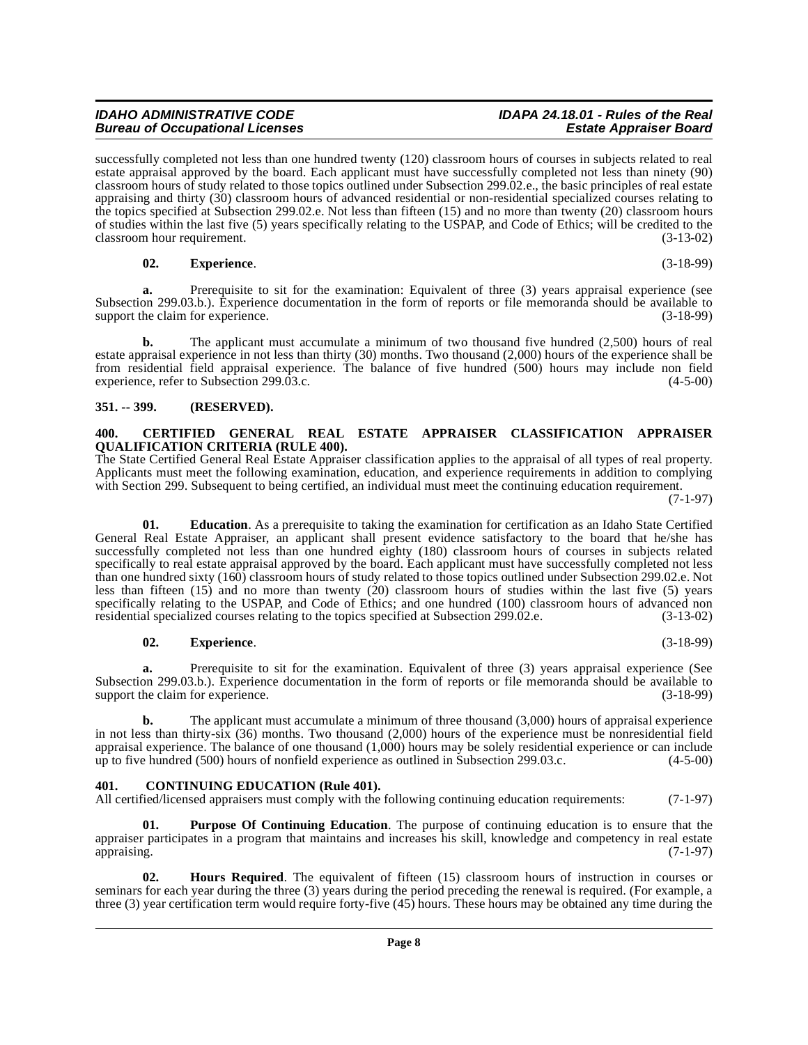#### **a.** Prerequisite to sit for the examination: Equivalent of three (3) years appraisal experience (see Subsection 299.03.b.). Experience documentation in the form of reports or file memoranda should be available to support the claim for experience. support the claim for experience.

**b.** The applicant must accumulate a minimum of two thousand five hundred (2,500) hours of real estate appraisal experience in not less than thirty (30) months. Two thousand (2,000) hours of the experience shall be from residential field appraisal experience. The balance of five hundred (500) hours may include non field experience, refer to Subsection 299.03.c. experience, refer to Subsection  $299.03.c.$ 

successfully completed not less than one hundred twenty (120) classroom hours of courses in subjects related to real estate appraisal approved by the board. Each applicant must have successfully completed not less than ninety (90) classroom hours of study related to those topics outlined under Subsection 299.02.e., the basic principles of real estate appraising and thirty (30) classroom hours of advanced residential or non-residential specialized courses relating to the topics specified at Subsection 299.02.e. Not less than fifteen (15) and no more than twenty (20) classroom hours of studies within the last five (5) years specifically relating to the USPAP, and Code of Ethics; will be credited to the  $\epsilon$  classroom hour requirement. (3-13-02)

# <span id="page-7-0"></span>**351. -- 399. (RESERVED).**

**Bureau of Occupational Licenses** 

#### <span id="page-7-3"></span><span id="page-7-1"></span>**400. CERTIFIED GENERAL REAL ESTATE APPRAISER CLASSIFICATION APPRAISER QUALIFICATION CRITERIA (RULE 400).**

The State Certified General Real Estate Appraiser classification applies to the appraisal of all types of real property. Applicants must meet the following examination, education, and experience requirements in addition to complying with Section 299. Subsequent to being certified, an individual must meet the continuing education requirement. (7-1-97)

**01. Education**. As a prerequisite to taking the examination for certification as an Idaho State Certified General Real Estate Appraiser, an applicant shall present evidence satisfactory to the board that he/she has successfully completed not less than one hundred eighty (180) classroom hours of courses in subjects related specifically to real estate appraisal approved by the board. Each applicant must have successfully completed not less than one hundred sixty (160) classroom hours of study related to those topics outlined under Subsection 299.02.e. Not less than fifteen (15) and no more than twenty (20) classroom hours of studies within the last five (5) years specifically relating to the USPAP, and Code of Ethics; and one hundred (100) classroom hours of advanced non residential specialized courses relating to the topics specified at Subsection 299.02.e. (3-13-02)

# **02. Experience**. (3-18-99)

Prerequisite to sit for the examination. Equivalent of three (3) years appraisal experience (See Subsection 299.03.b.). Experience documentation in the form of reports or file memoranda should be available to support the claim for experience. support the claim for experience.

The applicant must accumulate a minimum of three thousand (3,000) hours of appraisal experience in not less than thirty-six (36) months. Two thousand (2,000) hours of the experience must be nonresidential field appraisal experience. The balance of one thousand  $(1,000)$  hours may be solely residential experience or can include<br>up to five hundred (500) hours of nonfield experience as outlined in Subsection 299.03.c.  $(4-5-00)$ up to five hundred  $(500)$  hours of nonfield experience as outlined in Subsection 299.03.c.

# <span id="page-7-4"></span><span id="page-7-2"></span>**401. CONTINUING EDUCATION (Rule 401).**

All certified/licensed appraisers must comply with the following continuing education requirements: (7-1-97)

<span id="page-7-6"></span>**01. Purpose Of Continuing Education**. The purpose of continuing education is to ensure that the appraiser participates in a program that maintains and increases his skill, knowledge and competency in real estate<br>(7-1-97) appraising. (7-1-97)

<span id="page-7-5"></span>**02. Hours Required**. The equivalent of fifteen (15) classroom hours of instruction in courses or seminars for each year during the three (3) years during the period preceding the renewal is required. (For example, a three (3) year certification term would require forty-five (45) hours. These hours may be obtained any time during the

# **IDAHO ADMINISTRATIVE CODE IDAPA 24.18.01 - Rules of the Real**

**02. Experience**. (3-18-99)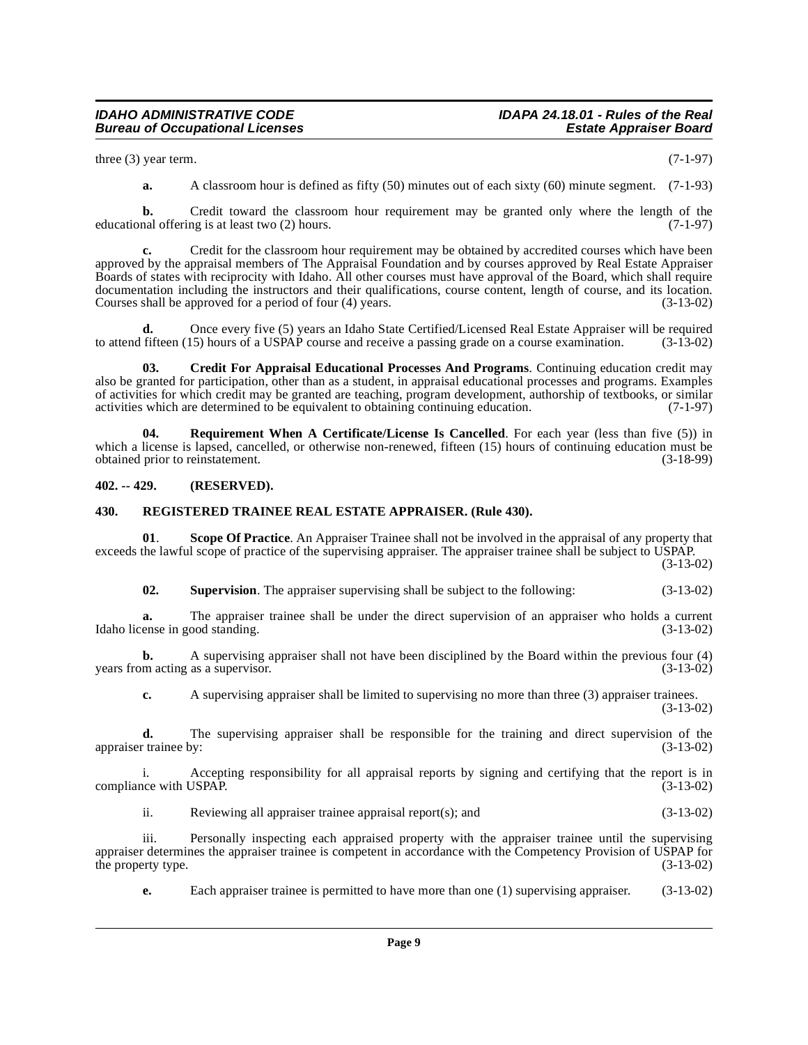three  $(3)$  year term.  $(7-1-97)$ 

**a.** A classroom hour is defined as fifty (50) minutes out of each sixty (60) minute segment. (7-1-93)

**b.** Credit toward the classroom hour requirement may be granted only where the length of the nal offering is at least two (2) hours. (7-1-97) educational offering is at least two  $(2)$  hours.

**c.** Credit for the classroom hour requirement may be obtained by accredited courses which have been approved by the appraisal members of The Appraisal Foundation and by courses approved by Real Estate Appraiser Boards of states with reciprocity with Idaho. All other courses must have approval of the Board, which shall require documentation including the instructors and their qualifications, course content, length of course, and its location. Courses shall be approved for a period of four (4) years. (3-13-02)

**d.** Once every five (5) years an Idaho State Certified/Licensed Real Estate Appraiser will be required fifteen (15) hours of a USPAP course and receive a passing grade on a course examination. (3-13-02) to attend fifteen  $(15)$  hours of a USPAP course and receive a passing grade on a course examination.

<span id="page-8-2"></span>**03. Credit For Appraisal Educational Processes And Programs**. Continuing education credit may also be granted for participation, other than as a student, in appraisal educational processes and programs. Examples of activities for which credit may be granted are teaching, program development, authorship of textbooks, or similar activities which are determined to be equivalent to obtaining continuing education. (7-1-97)

<span id="page-8-4"></span>**04. Requirement When A Certificate/License Is Cancelled**. For each year (less than five (5)) in which a license is lapsed, cancelled, or otherwise non-renewed, fifteen (15) hours of continuing education must be obtained prior to reinstatement. (3-18-99) obtained prior to reinstatement.

#### <span id="page-8-0"></span>**402. -- 429. (RESERVED).**

#### <span id="page-8-3"></span><span id="page-8-1"></span>**430. REGISTERED TRAINEE REAL ESTATE APPRAISER. (Rule 430).**

**01**. **Scope Of Practice**. An Appraiser Trainee shall not be involved in the appraisal of any property that exceeds the lawful scope of practice of the supervising appraiser. The appraiser trainee shall be subject to USPAP. (3-13-02)

<span id="page-8-5"></span>**02. Supervision**. The appraiser supervising shall be subject to the following: (3-13-02)

**a.** The appraiser trainee shall be under the direct supervision of an appraiser who holds a current ense in good standing. (3-13-02) Idaho license in good standing.

**b.** A supervising appraiser shall not have been disciplined by the Board within the previous four (4) m acting as a supervisor. (3-13-02) years from acting as a supervisor.

**c.** A supervising appraiser shall be limited to supervising no more than three (3) appraiser trainees. (3-13-02)

**d.** The supervising appraiser shall be responsible for the training and direct supervision of the trainee by: (3-13-02) appraiser trainee by:

i. Accepting responsibility for all appraisal reports by signing and certifying that the report is in compliance with USPAP. (3-13-02)

ii. Reviewing all appraiser trainee appraisal report(s); and (3-13-02)

iii. Personally inspecting each appraised property with the appraiser trainee until the supervising appraiser determines the appraiser trainee is competent in accordance with the Competency Provision of USPAP for<br>(3-13-02) the property type.

**e.** Each appraiser trainee is permitted to have more than one (1) supervising appraiser. (3-13-02)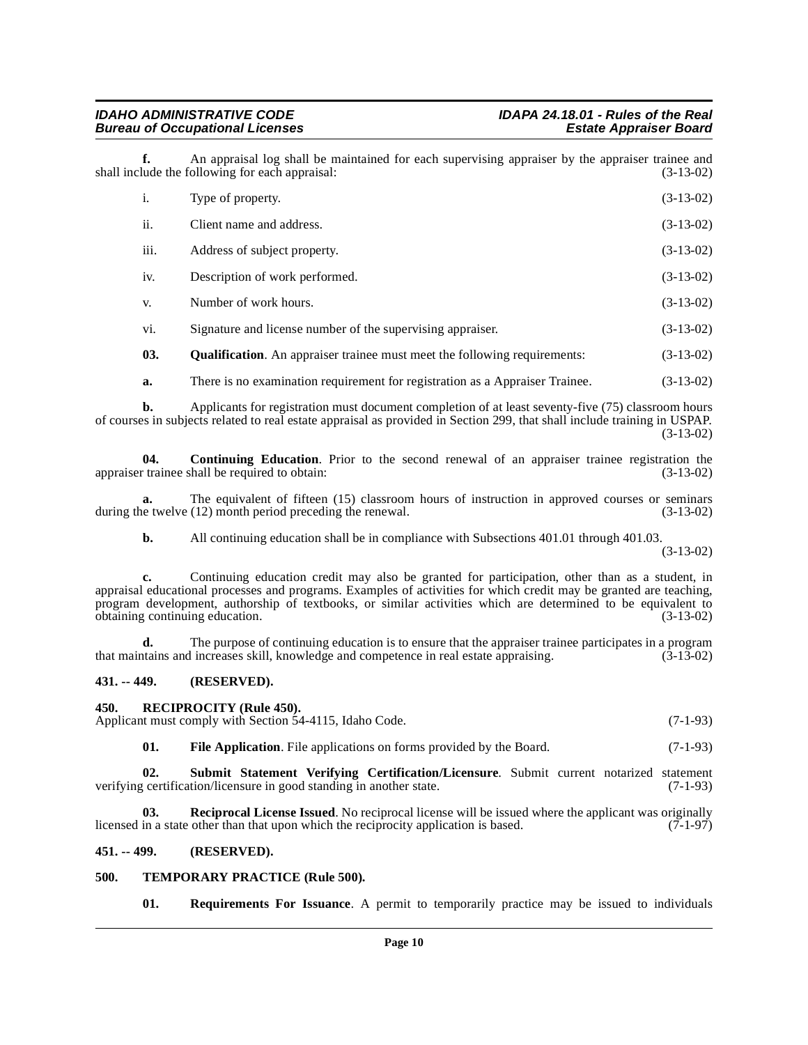**f.** An appraisal log shall be maintained for each supervising appraiser by the appraiser trainee and lude the following for each appraisal: (3-13-02) shall include the following for each appraisal: i. Type of property. (3-13-02)

| ii.  | Client name and address.                                                         | $(3-13-02)$ |
|------|----------------------------------------------------------------------------------|-------------|
| iii. | Address of subject property.                                                     | $(3-13-02)$ |
| iv.  | Description of work performed.                                                   | $(3-13-02)$ |
| V.   | Number of work hours.                                                            | $(3-13-02)$ |
| vi.  | Signature and license number of the supervising appraiser.                       | $(3-13-02)$ |
| 03.  | <b>Qualification.</b> An appraiser trainee must meet the following requirements: | $(3-13-02)$ |
|      |                                                                                  |             |

<span id="page-9-6"></span><span id="page-9-4"></span>**a.** There is no examination requirement for registration as a Appraiser Trainee.  $(3-13-02)$ 

**b.** Applicants for registration must document completion of at least seventy-five (75) classroom hours of courses in subjects related to real estate appraisal as provided in Section 299, that shall include training in USPAP. (3-13-02)

**04. Continuing Education**. Prior to the second renewal of an appraiser trainee registration the appraiser trainee shall be required to obtain: (3-13-02)

**a.** The equivalent of fifteen (15) classroom hours of instruction in approved courses or seminars e twelve (12) month period preceding the renewal. (3-13-02) during the twelve  $(12)$  month period preceding the renewal.

**b.** All continuing education shall be in compliance with Subsections 401.01 through 401.03.

(3-13-02)

**c.** Continuing education credit may also be granted for participation, other than as a student, in appraisal educational processes and programs. Examples of activities for which credit may be granted are teaching, program development, authorship of textbooks, or similar activities which are determined to be equivalent to obtaining continuing education. (3-13-02)

**d.** The purpose of continuing education is to ensure that the appraiser trainee participates in a program trains and increases skill, knowledge and competence in real estate appraising. (3-13-02) that maintains and increases skill, knowledge and competence in real estate appraising.

#### <span id="page-9-0"></span>**431. -- 449. (RESERVED).**

#### <span id="page-9-8"></span><span id="page-9-1"></span>**450. RECIPROCITY (Rule 450).**

Applicant must comply with Section 54-4115, Idaho Code. (7-1-93)

<span id="page-9-10"></span><span id="page-9-7"></span><span id="page-9-5"></span>**01.** File Application. File applications on forms provided by the Board. (7-1-93)

**02.** Submit Statement Verifying Certification/Licensure. Submit current notarized statement certification/licensure in good standing in another state. (7-1-93) verifying certification/licensure in good standing in another state.

**03. Reciprocal License Issued**. No reciprocal license will be issued where the applicant was originally in a state other than that upon which the reciprocity application is based. (7-1-97) licensed in a state other than that upon which the reciprocity application is based.

#### <span id="page-9-2"></span>**451. -- 499. (RESERVED).**

#### <span id="page-9-3"></span>**500. TEMPORARY PRACTICE (Rule 500).**

<span id="page-9-11"></span><span id="page-9-9"></span>**01. Requirements For Issuance**. A permit to temporarily practice may be issued to individuals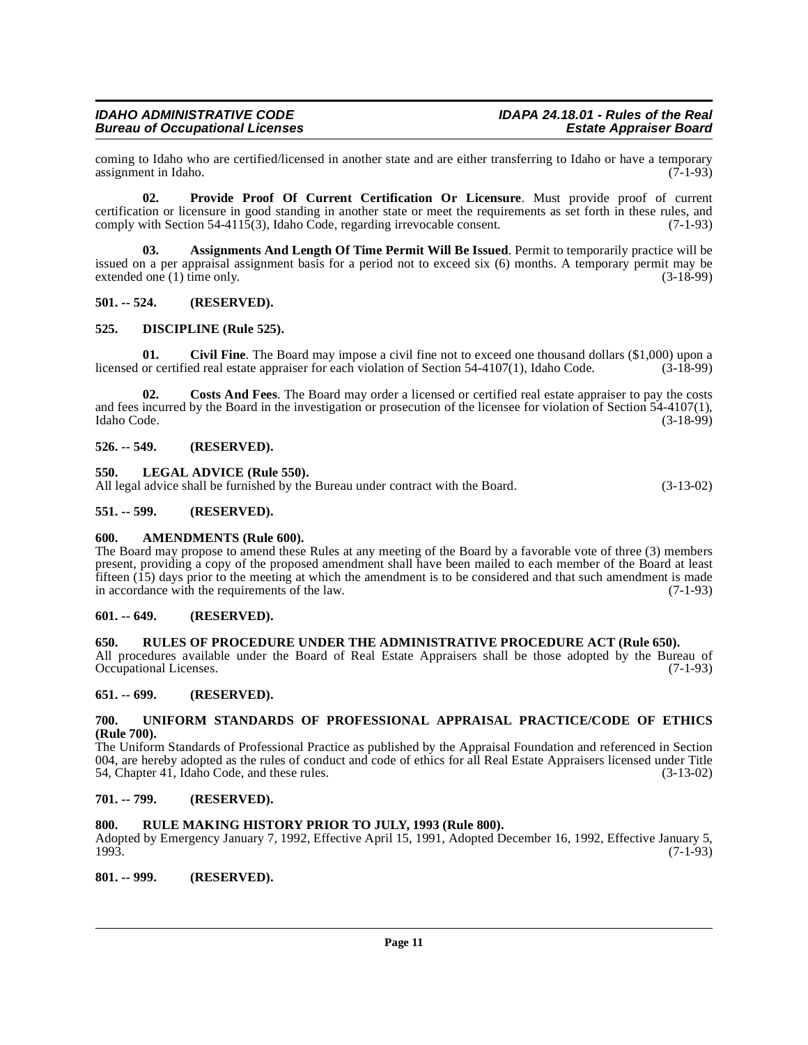coming to Idaho who are certified/licensed in another state and are either transferring to Idaho or have a temporary<br>(7-1-93) assignment in Idaho.

<span id="page-10-19"></span>**02. Provide Proof Of Current Certification Or Licensure**. Must provide proof of current certification or licensure in good standing in another state or meet the requirements as set forth in these rules, and comply with Section 54-4115(3), Idaho Code, regarding irrevocable consent.  $(7-1-93)$ comply with Section 54-4115(3), Idaho Code, regarding irrevocable consent.

<span id="page-10-14"></span>**03. Assignments And Length Of Time Permit Will Be Issued**. Permit to temporarily practice will be issued on a per appraisal assignment basis for a period not to exceed six (6) months. A temporary permit may be extended one (1) time only. (3-18-99) extended one  $(1)$  time only.

#### <span id="page-10-0"></span>**501. -- 524. (RESERVED).**

#### <span id="page-10-17"></span><span id="page-10-1"></span>**525. DISCIPLINE (Rule 525).**

<span id="page-10-15"></span>**01.** Civil Fine. The Board may impose a civil fine not to exceed one thousand dollars (\$1,000) upon a or certified real estate appraiser for each violation of Section 54-4107(1). Idaho Code. (3-18-99) licensed or certified real estate appraiser for each violation of Section 54-4107(1), Idaho Code.

<span id="page-10-16"></span>**02. Costs And Fees**. The Board may order a licensed or certified real estate appraiser to pay the costs and fees incurred by the Board in the investigation or prosecution of the licensee for violation of Section  $\frac{54-4107(1)}{3-18-99}$ , (3-18-99) Idaho Code. (3-18-99)

#### <span id="page-10-2"></span>**526. -- 549. (RESERVED).**

#### <span id="page-10-18"></span><span id="page-10-3"></span>**550. LEGAL ADVICE (Rule 550).**

All legal advice shall be furnished by the Bureau under contract with the Board. (3-13-02)

#### <span id="page-10-4"></span>**551. -- 599. (RESERVED).**

#### <span id="page-10-13"></span><span id="page-10-5"></span>**600. AMENDMENTS (Rule 600).**

The Board may propose to amend these Rules at any meeting of the Board by a favorable vote of three (3) members present, providing a copy of the proposed amendment shall have been mailed to each member of the Board at least fifteen (15) days prior to the meeting at which the amendment is to be considered and that such amendment is made in accordance with the requirements of the law. (7-1-93)

#### <span id="page-10-6"></span>**601. -- 649. (RESERVED).**

#### <span id="page-10-20"></span><span id="page-10-7"></span>**650. RULES OF PROCEDURE UNDER THE ADMINISTRATIVE PROCEDURE ACT (Rule 650).**

All procedures available under the Board of Real Estate Appraisers shall be those adopted by the Bureau of Occupational Licenses. (7-1-93) Occupational Licenses.

#### <span id="page-10-8"></span>**651. -- 699. (RESERVED).**

#### <span id="page-10-21"></span><span id="page-10-9"></span>**700. UNIFORM STANDARDS OF PROFESSIONAL APPRAISAL PRACTICE/CODE OF ETHICS (Rule 700).**

The Uniform Standards of Professional Practice as published by the Appraisal Foundation and referenced in Section 004, are hereby adopted as the rules of conduct and code of ethics for all Real Estate Appraisers licensed under Title 54. Chapter 41. Idaho Code, and these rules.  $(3-13-02)$ 54, Chapter 41, Idaho Code, and these rules.

#### <span id="page-10-10"></span>**701. -- 799. (RESERVED).**

#### <span id="page-10-11"></span>**800. RULE MAKING HISTORY PRIOR TO JULY, 1993 (Rule 800).**

Adopted by Emergency January 7, 1992, Effective April 15, 1991, Adopted December 16, 1992, Effective January 5, 1993. 1993. (7-1-93)

<span id="page-10-12"></span>**801. -- 999. (RESERVED).**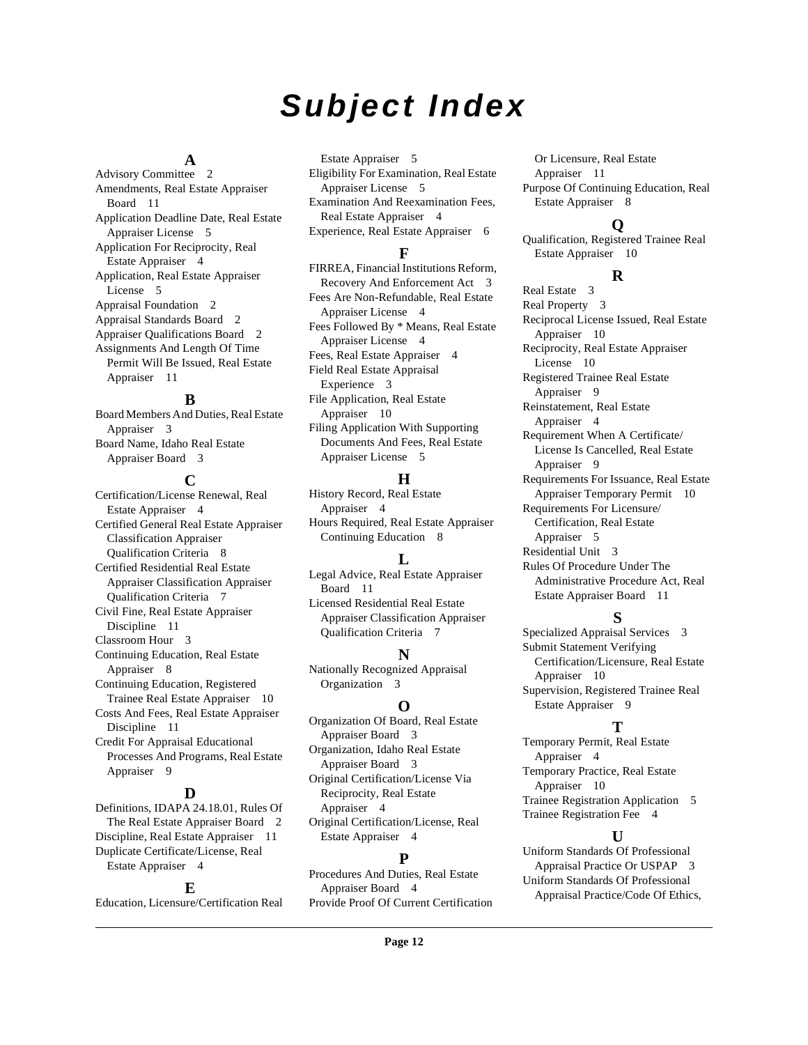# **Subject Index**

#### **A**

Advisory Committee [2](#page-1-10) Amendments, Real Estate Appraiser Board [11](#page-10-13) Application Deadline Date, Real Estate Appraiser License [5](#page-4-4) Application For Reciprocity, Real Estate Appraiser [4](#page-3-4) Application, Real Estate Appraiser License [5](#page-4-5) Appraisal Foundation [2](#page-1-11) Appraisal Standards Board [2](#page-1-12) Appraiser Qualifications Board [2](#page-1-13) Assignments And Length Of Time Permit Will Be Issued, Real Estate Appraiser [11](#page-10-14)

#### **B**

Board Members And Duties, Real Estate Appraiser [3](#page-2-2) Board Name, Idaho Real Estate Appraiser Board [3](#page-2-3)

#### **C**

Certification/License Renewal, Real Estate Appraiser [4](#page-3-5) Certified General Real Estate Appraiser Classification Appraiser Qualification Criteria [8](#page-7-3) Certified Residential Real Estate Appraiser Classification Appraiser Qualification Criteria [7](#page-6-3) Civil Fine, Real Estate Appraiser Discipline [11](#page-10-15) Classroom Hour [3](#page-2-4) Continuing Education, Real Estate Appraiser [8](#page-7-4) Continuing Education, Registered Trainee Real Estate Appraiser [10](#page-9-4) Costs And Fees, Real Estate Appraiser Discipline [11](#page-10-16) Credit For Appraisal Educational Processes And Programs, Real Estate Appraiser [9](#page-8-2)

#### **D**

Definitions, IDAPA 24.18.01, Rules Of The Real Estate Appraiser Board [2](#page-1-14) Discipline, Real Estate Appraiser [11](#page-10-17) Duplicate Certificate/License, Real Estate Appraiser [4](#page-3-6)

#### **E**

Education, Licensure/Certification Real

Estate Appraiser [5](#page-4-6) Eligibility For Examination, Real Estate Appraiser License [5](#page-4-7) Examination And Reexamination Fees, Real Estate Appraiser [4](#page-3-7) Experience, Real Estate Appraiser [6](#page-5-0)

#### **F**

FIRREA, Financial Institutions Reform, Recovery And Enforcement Act [3](#page-2-5) Fees Are Non-Refundable, Real Estate Appraiser License [4](#page-3-8) Fees Followed By \* Means, Real Estate Appraiser License [4](#page-3-9) Fees, Real Estate Appraiser [4](#page-3-10) Field Real Estate Appraisal Experience [3](#page-2-6) File Application, Real Estate Appraiser [10](#page-9-5) Filing Application With Supporting Documents And Fees, Real Estate Appraiser License [5](#page-4-8)

#### **H**

History Record, Real Estate Appraiser [4](#page-3-11) Hours Required, Real Estate Appraiser Continuing Education [8](#page-7-5)

# **L**

Legal Advice, Real Estate Appraiser Board [11](#page-10-18) Licensed Residential Real Estate Appraiser Classification Appraiser Qualification Criteria [7](#page-6-4)

#### **N**

Nationally Recognized Appraisal Organization [3](#page-2-7)

# **O**

Organization Of Board, Real Estate Appraiser Board [3](#page-2-8) Organization, Idaho Real Estate Appraiser Board [3](#page-2-9) Original Certification/License Via Reciprocity, Real Estate Appraiser [4](#page-3-12) Original Certification/License, Real Estate Appraiser [4](#page-3-13)

# **P**

Procedures And Duties, Real Estate Appraiser Board [4](#page-3-14) Provide Proof Of Current Certification

Or Licensure, Real Estate Appraiser [11](#page-10-19) Purpose Of Continuing Education, Real Estate Appraiser [8](#page-7-6)

# **Q**

Qualification, Registered Trainee Real Estate Appraiser [10](#page-9-6)

# **R**

Real Estate [3](#page-2-10) Real Property [3](#page-2-11) Reciprocal License Issued, Real Estate Appraiser [10](#page-9-7) Reciprocity, Real Estate Appraiser License [10](#page-9-8) Registered Trainee Real Estate Appraiser [9](#page-8-3) Reinstatement, Real Estate Appraiser [4](#page-3-15) Requirement When A Certificate/ License Is Cancelled, Real Estate Appraiser [9](#page-8-4) Requirements For Issuance, Real Estate Appraiser Temporary Permit [10](#page-9-9) Requirements For Licensure/ Certification, Real Estate Appraiser [5](#page-4-9) Residential Unit [3](#page-2-12) Rules Of Procedure Under The Administrative Procedure Act, Real Estate Appraiser Board [11](#page-10-20)

# **S**

Specialized Appraisal Services [3](#page-2-13) Submit Statement Verifying Certification/Licensure, Real Estate Appraiser [10](#page-9-10) Supervision, Registered Trainee Real Estate Appraiser [9](#page-8-5)

# **T**

Temporary Permit, Real Estate Appraiser [4](#page-3-16) Temporary Practice, Real Estate Appraiser [10](#page-9-11) Trainee Registration Application [5](#page-4-10) Trainee Registration Fee [4](#page-3-17)

# **U**

Uniform Standards Of Professional Appraisal Practice Or USPAP [3](#page-2-14) Uniform Standards Of Professional Appraisal Practice/Code Of Ethics,